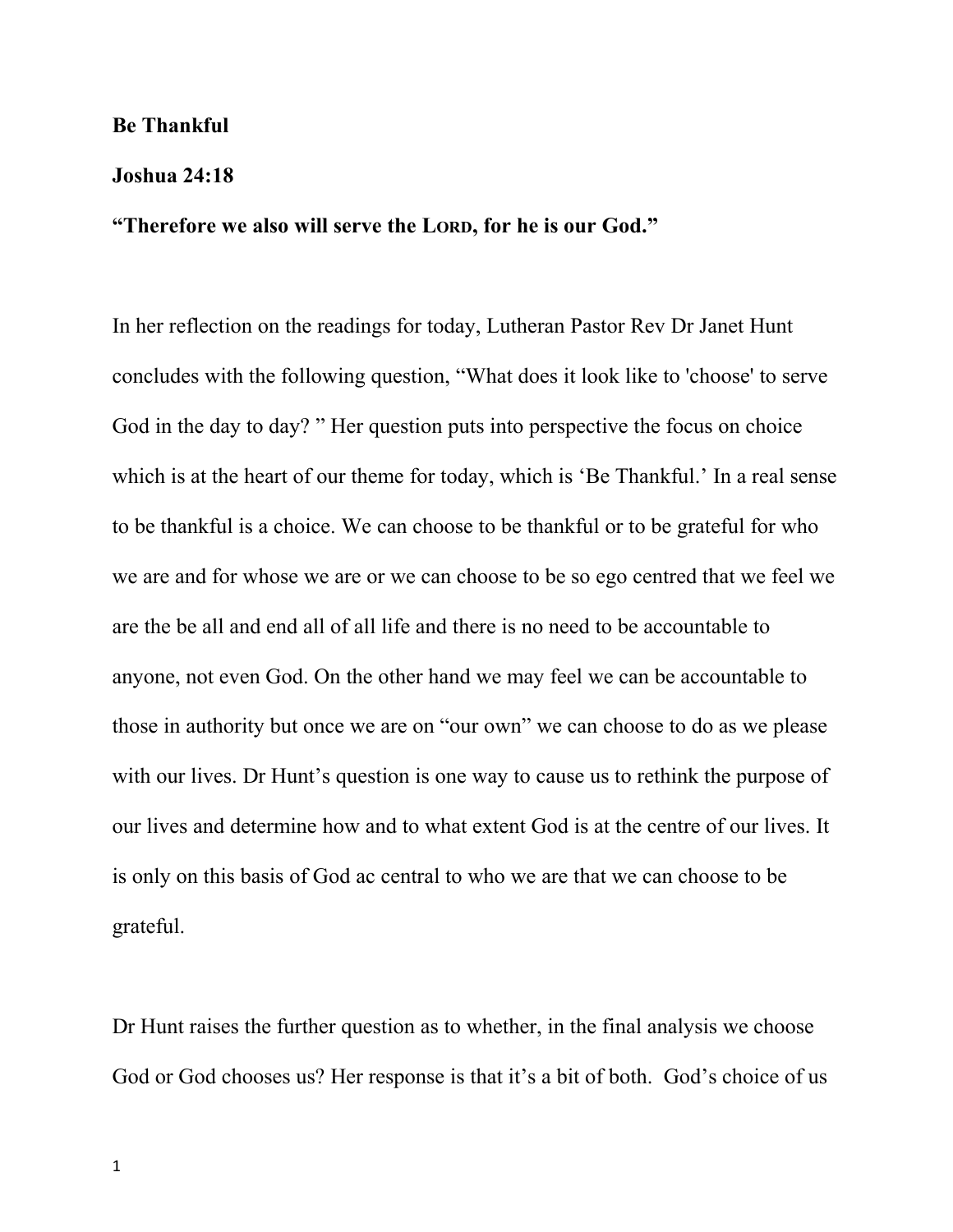## **Be Thankful**

## **Joshua 24:18**

## **"Therefore we also will serve the LORD, for he is our God."**

In her reflection on the readings for today, Lutheran Pastor Rev Dr Janet Hunt concludes with the following question, "What does it look like to 'choose' to serve God in the day to day? " Her question puts into perspective the focus on choice which is at the heart of our theme for today, which is 'Be Thankful.' In a real sense to be thankful is a choice. We can choose to be thankful or to be grateful for who we are and for whose we are or we can choose to be so ego centred that we feel we are the be all and end all of all life and there is no need to be accountable to anyone, not even God. On the other hand we may feel we can be accountable to those in authority but once we are on "our own" we can choose to do as we please with our lives. Dr Hunt's question is one way to cause us to rethink the purpose of our lives and determine how and to what extent God is at the centre of our lives. It is only on this basis of God ac central to who we are that we can choose to be grateful.

Dr Hunt raises the further question as to whether, in the final analysis we choose God or God chooses us? Her response is that it's a bit of both. God's choice of us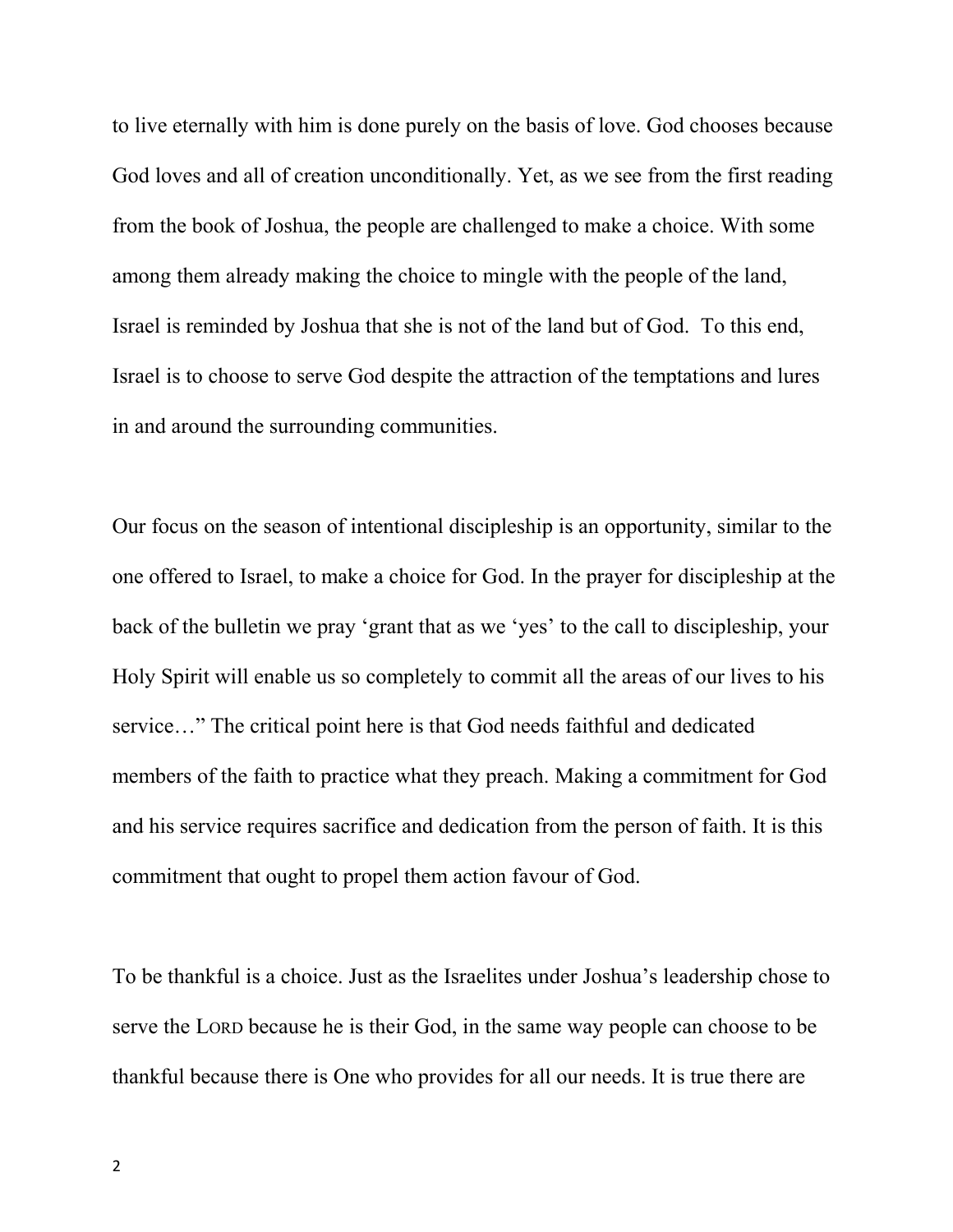to live eternally with him is done purely on the basis of love. God chooses because God loves and all of creation unconditionally. Yet, as we see from the first reading from the book of Joshua, the people are challenged to make a choice. With some among them already making the choice to mingle with the people of the land, Israel is reminded by Joshua that she is not of the land but of God. To this end, Israel is to choose to serve God despite the attraction of the temptations and lures in and around the surrounding communities.

Our focus on the season of intentional discipleship is an opportunity, similar to the one offered to Israel, to make a choice for God. In the prayer for discipleship at the back of the bulletin we pray 'grant that as we 'yes' to the call to discipleship, your Holy Spirit will enable us so completely to commit all the areas of our lives to his service…" The critical point here is that God needs faithful and dedicated members of the faith to practice what they preach. Making a commitment for God and his service requires sacrifice and dedication from the person of faith. It is this commitment that ought to propel them action favour of God.

To be thankful is a choice. Just as the Israelites under Joshua's leadership chose to serve the LORD because he is their God, in the same way people can choose to be thankful because there is One who provides for all our needs. It is true there are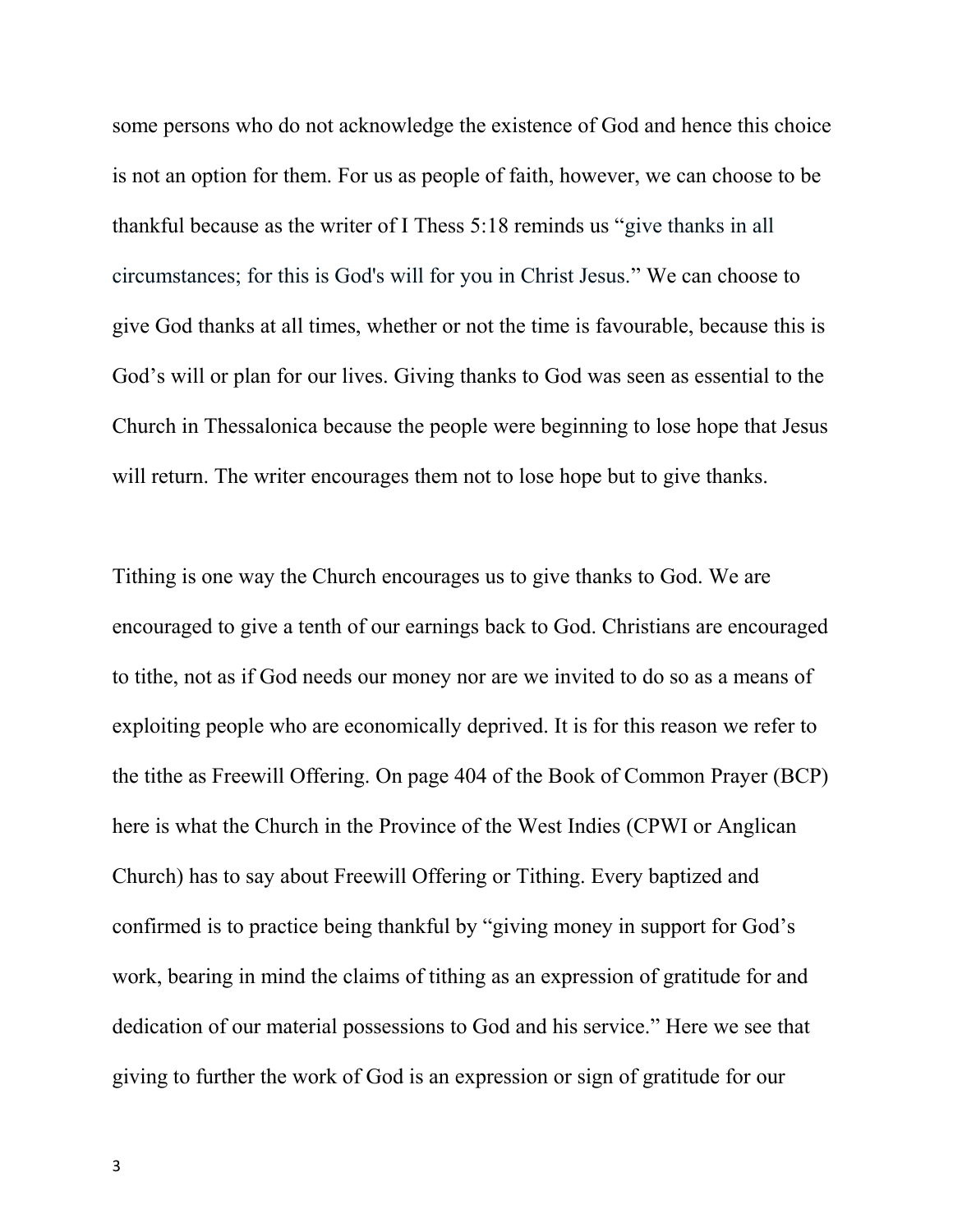some persons who do not acknowledge the existence of God and hence this choice is not an option for them. For us as people of faith, however, we can choose to be thankful because as the writer of I Thess 5:18 reminds us "give thanks in all circumstances; for this is God's will for you in Christ Jesus." We can choose to give God thanks at all times, whether or not the time is favourable, because this is God's will or plan for our lives. Giving thanks to God was seen as essential to the Church in Thessalonica because the people were beginning to lose hope that Jesus will return. The writer encourages them not to lose hope but to give thanks.

Tithing is one way the Church encourages us to give thanks to God. We are encouraged to give a tenth of our earnings back to God. Christians are encouraged to tithe, not as if God needs our money nor are we invited to do so as a means of exploiting people who are economically deprived. It is for this reason we refer to the tithe as Freewill Offering. On page 404 of the Book of Common Prayer (BCP) here is what the Church in the Province of the West Indies (CPWI or Anglican Church) has to say about Freewill Offering or Tithing. Every baptized and confirmed is to practice being thankful by "giving money in support for God's work, bearing in mind the claims of tithing as an expression of gratitude for and dedication of our material possessions to God and his service." Here we see that giving to further the work of God is an expression or sign of gratitude for our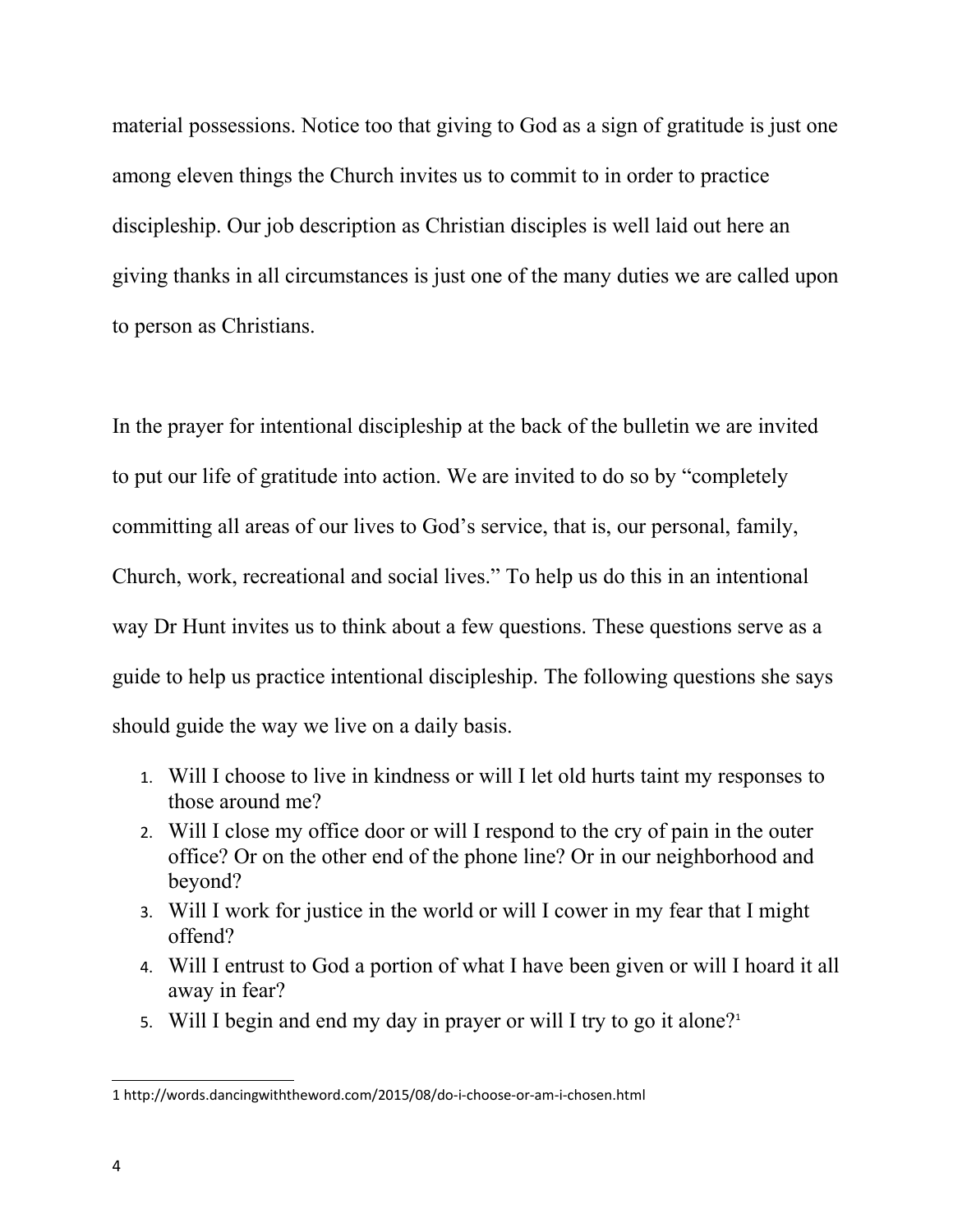material possessions. Notice too that giving to God as a sign of gratitude is just one among eleven things the Church invites us to commit to in order to practice discipleship. Our job description as Christian disciples is well laid out here an giving thanks in all circumstances is just one of the many duties we are called upon to person as Christians.

In the prayer for intentional discipleship at the back of the bulletin we are invited to put our life of gratitude into action. We are invited to do so by "completely committing all areas of our lives to God's service, that is, our personal, family, Church, work, recreational and social lives." To help us do this in an intentional way Dr Hunt invites us to think about a few questions. These questions serve as a guide to help us practice intentional discipleship. The following questions she says should guide the way we live on a daily basis.

- 1. Will I choose to live in kindness or will I let old hurts taint my responses to those around me?
- 2. Will I close my office door or will I respond to the cry of pain in the outer office? Or on the other end of the phone line? Or in our neighborhood and beyond?
- 3. Will I work for justice in the world or will I cower in my fear that I might offend?
- 4. Will I entrust to God a portion of what I have been given or will I hoard it all away in fear?
- 5. Will I begin and end my day in prayer or will I try to go it alone?<sup>[1](#page-3-0)</sup>

<span id="page-3-0"></span><sup>1</sup> http://words.dancingwiththeword.com/2015/08/do-i-choose-or-am-i-chosen.html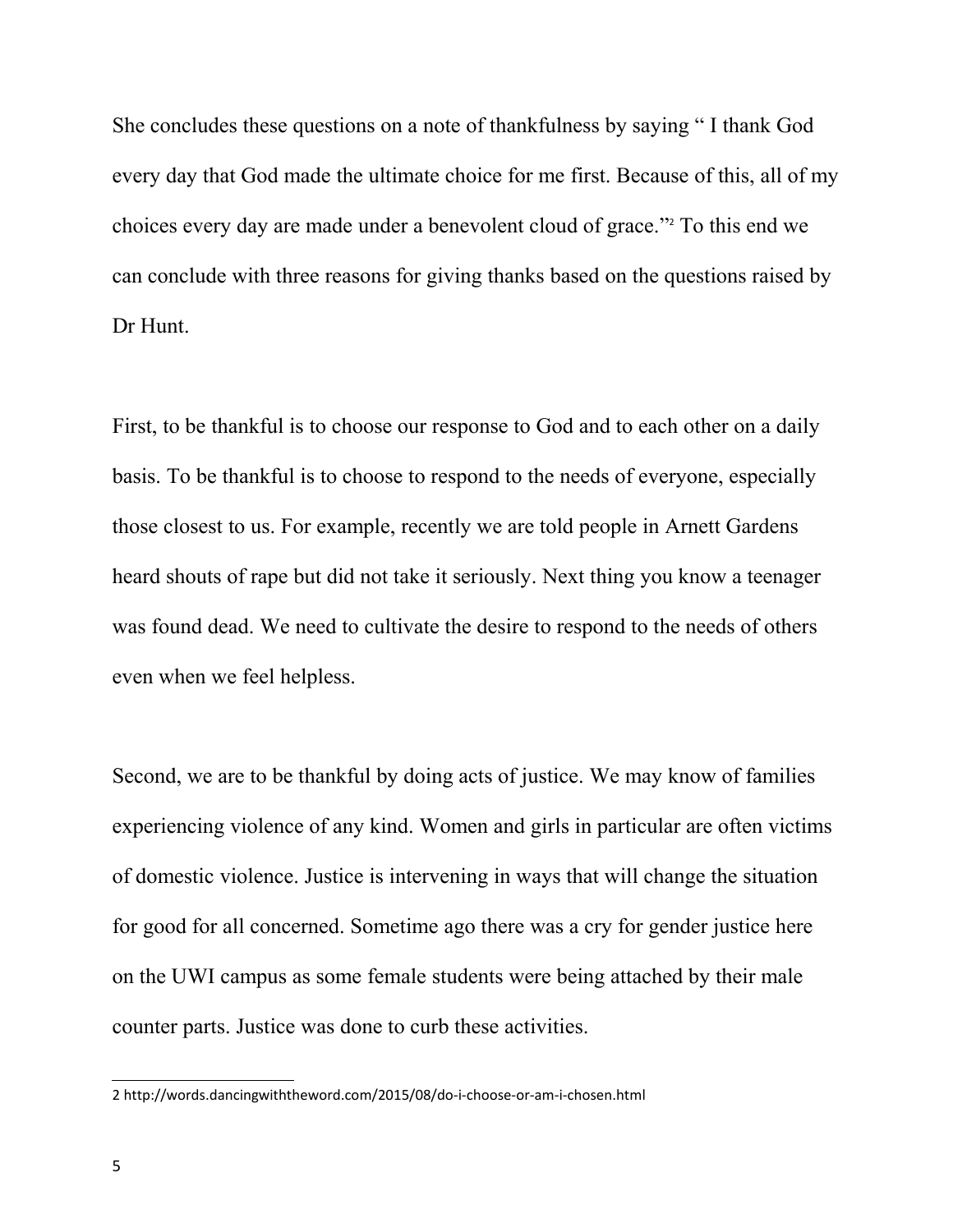She concludes these questions on a note of thankfulness by saying " I thank God every day that God made the ultimate choice for me first. Because of this, all of my choices every day are made under a benevolent cloud of grace." [2](#page-4-0) To this end we can conclude with three reasons for giving thanks based on the questions raised by Dr Hunt.

First, to be thankful is to choose our response to God and to each other on a daily basis. To be thankful is to choose to respond to the needs of everyone, especially those closest to us. For example, recently we are told people in Arnett Gardens heard shouts of rape but did not take it seriously. Next thing you know a teenager was found dead. We need to cultivate the desire to respond to the needs of others even when we feel helpless.

Second, we are to be thankful by doing acts of justice. We may know of families experiencing violence of any kind. Women and girls in particular are often victims of domestic violence. Justice is intervening in ways that will change the situation for good for all concerned. Sometime ago there was a cry for gender justice here on the UWI campus as some female students were being attached by their male counter parts. Justice was done to curb these activities.

<span id="page-4-0"></span><sup>2</sup> http://words.dancingwiththeword.com/2015/08/do-i-choose-or-am-i-chosen.html